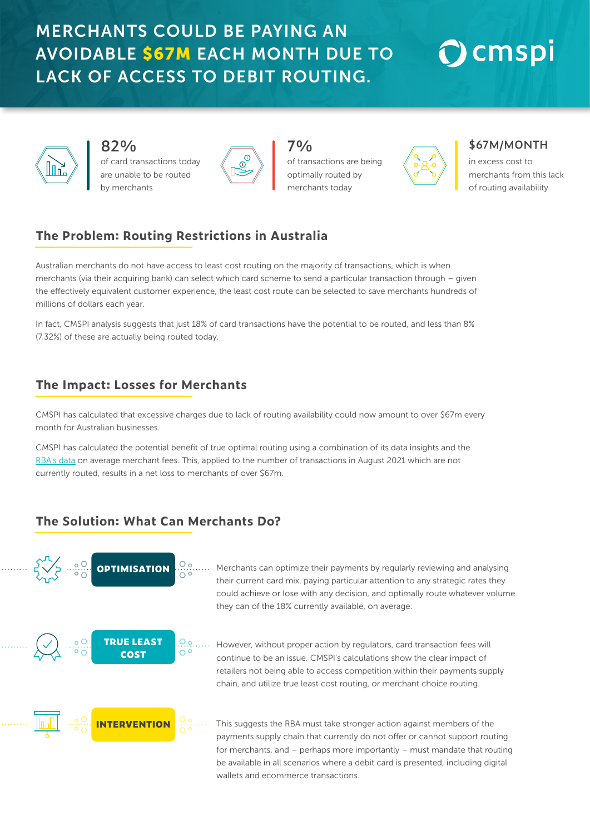### MERCHANTS COULD BE PAYING AN AVOIDABLE \$67M EACH MONTH DUE TO LACK OF ACCESS TO DEBIT ROUTING.

## $\bigcirc$  cmspi



**82%**

of card transactions today are unable to be routed by merchant



**7%** of transactions are being optimally routed by merchants today



#### **\$67M/MONTH**

in excess cost to merchants from this lack of routing availability

#### **The Problem: Routing Restrictions in Australia**

Australian merchants do not have access to least cost routing on the majority of transactions, which is when merchants (via their acquiring bank) can select which card scheme to send a particular transaction through – given the effectively equivalent customer experience, the least cost route can be selected to save merchants hundreds of millions of dollars each year.

In fact, CMSPI analysis suggests that just 18% of card transactions have the potential to be routed, and less than 8% (7.32%) of these are actually being routed today.

#### **The Impact: Losses for Merchants**

CMSPI has calculated that excessive charges due to lack of routing availability could now amount to over \$67m every month for Australian businesses.

CMSPI has calculated the potential benefit of true optimal routing using a combination of its data insights and the [RBA's data](https://www.rba.gov.au/statistics/tables/xls/c03hist.xlsx ) on average merchant fees. This, applied to the number of transactions in August 2021 which are not currently routed, results in a net loss to merchants of over \$67m.

#### **The Solution: What Can Merchants Do?**



This suggests the RBA must take stronger action against members of the payments supply chain that currently do not offer or cannot support routing for merchants, and – perhaps more importantly – must mandate that routing be available in all scenarios where a debit card is presented, including digital wallets and ecommerce transactions.